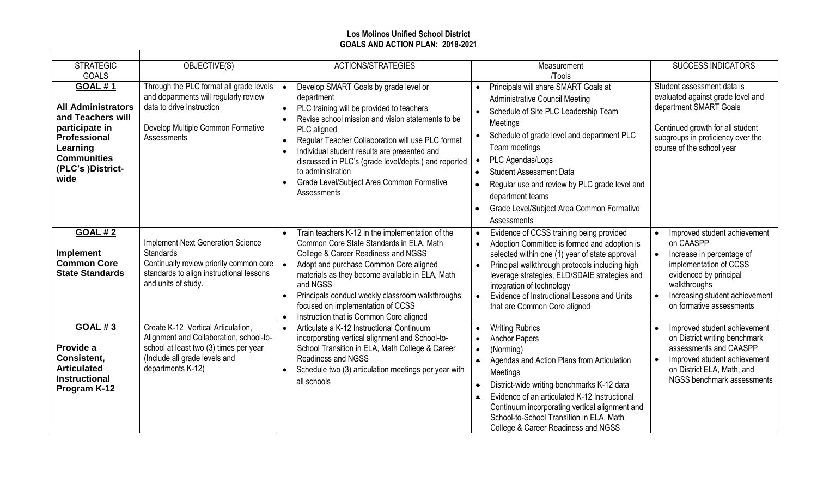## **Los Molinos Unified School District GOALS AND ACTION PLAN: 2018-2021**

 $\overline{\phantom{0}}$ 

| <b>STRATEGIC</b>                                                                                                                                                                         | OBJECTIVE(S)                                                                                                                                                                  | <b>ACTIONS/STRATEGIES</b>                                                                                                                                                                                                                                                                                                                                                                                          | Measurement                                                                                                                                                                                                                                                                                                                                                                                                    | <b>SUCCESS INDICATORS</b>                                                                                                                                                                                                                       |
|------------------------------------------------------------------------------------------------------------------------------------------------------------------------------------------|-------------------------------------------------------------------------------------------------------------------------------------------------------------------------------|--------------------------------------------------------------------------------------------------------------------------------------------------------------------------------------------------------------------------------------------------------------------------------------------------------------------------------------------------------------------------------------------------------------------|----------------------------------------------------------------------------------------------------------------------------------------------------------------------------------------------------------------------------------------------------------------------------------------------------------------------------------------------------------------------------------------------------------------|-------------------------------------------------------------------------------------------------------------------------------------------------------------------------------------------------------------------------------------------------|
| <b>GOALS</b><br><b>GOAL #1</b><br><b>All Administrators</b><br>and Teachers will<br>participate in<br><b>Professional</b><br>Learning<br><b>Communities</b><br>(PLC's )District-<br>wide | Through the PLC format all grade levels<br>and departments will regularly review<br>data to drive instruction<br>Develop Multiple Common Formative<br>Assessments             | Develop SMART Goals by grade level or<br>department<br>PLC training will be provided to teachers<br>Revise school mission and vision statements to be<br>PLC aligned<br>Regular Teacher Collaboration will use PLC format<br>Individual student results are presented and<br>discussed in PLC's (grade level/depts.) and reported<br>to administration<br>Grade Level/Subject Area Common Formative<br>Assessments | /Tools<br>Principals will share SMART Goals at<br><b>Administrative Council Meeting</b><br>Schedule of Site PLC Leadership Team<br>Meetings<br>Schedule of grade level and department PLC<br>Team meetings<br>PLC Agendas/Logs<br><b>Student Assessment Data</b><br>Regular use and review by PLC grade level and<br>department teams<br>Grade Level/Subject Area Common Formative<br>$\bullet$<br>Assessments | Student assessment data is<br>evaluated against grade level and<br>department SMART Goals<br>Continued growth for all student<br>subgroups in proficiency over the<br>course of the school year                                                 |
| <b>GOAL #2</b><br><b>Implement</b><br><b>Common Core</b><br><b>State Standards</b>                                                                                                       | <b>Implement Next Generation Science</b><br><b>Standards</b><br>Continually review priority common core<br>standards to align instructional lessons<br>and units of study.    | Train teachers K-12 in the implementation of the<br>Common Core State Standards in ELA, Math<br>College & Career Readiness and NGSS<br>Adopt and purchase Common Core aligned<br>materials as they become available in ELA, Math<br>and NGSS<br>Principals conduct weekly classroom walkthroughs<br>focused on implementation of CCSS<br>Instruction that is Common Core aligned                                   | Evidence of CCSS training being provided<br>Adoption Committee is formed and adoption is<br>selected within one (1) year of state approval<br>Principal walkthrough protocols including high<br>leverage strategies, ELD/SDAIE strategies and<br>integration of technology<br>Evidence of Instructional Lessons and Units<br>that are Common Core aligned                                                      | Improved student achievement<br>$\bullet$<br>on CAASPP<br>Increase in percentage of<br>$\bullet$<br>implementation of CCSS<br>evidenced by principal<br>walkthroughs<br>Increasing student achievement<br>$\bullet$<br>on formative assessments |
| <b>GOAL #3</b><br>Provide a<br>Consistent,<br><b>Articulated</b><br><b>Instructional</b><br>Program K-12                                                                                 | Create K-12 Vertical Articulation,<br>Alignment and Collaboration, school-to-<br>school at least two (3) times per year<br>(Include all grade levels and<br>departments K-12) | Articulate a K-12 Instructional Continuum<br>incorporating vertical alignment and School-to-<br>School Transition in ELA, Math College & Career<br>Readiness and NGSS<br>Schedule two (3) articulation meetings per year with<br>all schools                                                                                                                                                                       | <b>Writing Rubrics</b><br><b>Anchor Papers</b><br>(Norming)<br>Agendas and Action Plans from Articulation<br>$\bullet$<br>Meetings<br>District-wide writing benchmarks K-12 data<br>$\bullet$<br>Evidence of an articulated K-12 Instructional<br>$\bullet$<br>Continuum incorporating vertical alignment and<br>School-to-School Transition in ELA, Math<br>College & Career Readiness and NGSS               | Improved student achievement<br>on District writing benchmark<br>assessments and CAASPP<br>Improved student achievement<br>$\bullet$<br>on District ELA, Math, and<br>NGSS benchmark assessments                                                |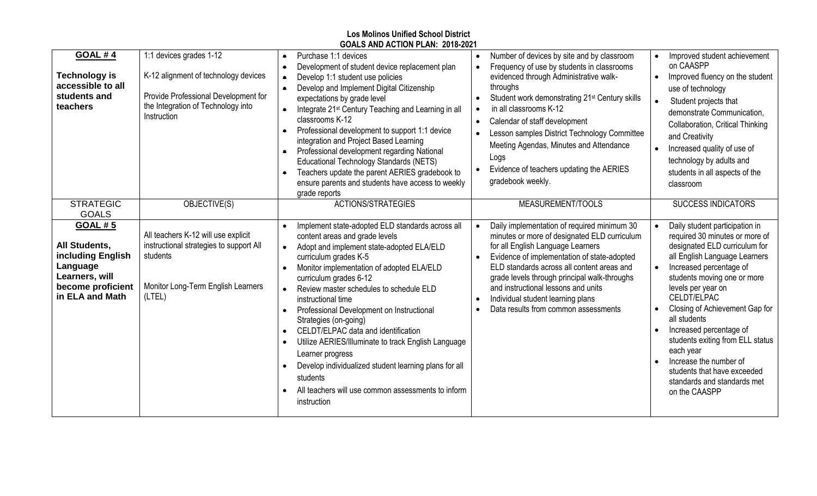| <b>Los Molinos Unified School District</b><br>GOALS AND ACTION PLAN: 2018-2021                                                    |                                                                                                                                                              |                                                                                                                                                                                                                                                                                                                                                                                                                                                                                                                                                                                                                                        |                                                                                                                                                                                                                                                                                                                                                                                                                                                          |                                                                                                                                                                                                                                                                                                                                                                                                                                                                                                                              |  |  |
|-----------------------------------------------------------------------------------------------------------------------------------|--------------------------------------------------------------------------------------------------------------------------------------------------------------|----------------------------------------------------------------------------------------------------------------------------------------------------------------------------------------------------------------------------------------------------------------------------------------------------------------------------------------------------------------------------------------------------------------------------------------------------------------------------------------------------------------------------------------------------------------------------------------------------------------------------------------|----------------------------------------------------------------------------------------------------------------------------------------------------------------------------------------------------------------------------------------------------------------------------------------------------------------------------------------------------------------------------------------------------------------------------------------------------------|------------------------------------------------------------------------------------------------------------------------------------------------------------------------------------------------------------------------------------------------------------------------------------------------------------------------------------------------------------------------------------------------------------------------------------------------------------------------------------------------------------------------------|--|--|
| <b>GOAL #4</b><br><b>Technology is</b><br>accessible to all<br>students and<br>teachers                                           | 1:1 devices grades 1-12<br>K-12 alignment of technology devices<br>Provide Professional Development for<br>the Integration of Technology into<br>Instruction | Purchase 1:1 devices<br>Development of student device replacement plan<br>٠<br>Develop 1:1 student use policies<br>Develop and Implement Digital Citizenship<br>expectations by grade level<br>Integrate 21 <sup>st</sup> Century Teaching and Learning in all<br>classrooms K-12<br>Professional development to support 1:1 device<br>$\bullet$<br>integration and Project Based Learning<br>Professional development regarding National<br>$\bullet$<br>Educational Technology Standards (NETS)<br>Teachers update the parent AERIES gradebook to<br>$\bullet$<br>ensure parents and students have access to weekly<br>grade reports | Number of devices by site and by classroom<br>Frequency of use by students in classrooms<br>evidenced through Administrative walk-<br>throughs<br>Student work demonstrating 21 <sup>st</sup> Century skills<br>in all classrooms K-12<br>Calendar of staff development<br>$\bullet$<br>Lesson samples District Technology Committee<br>Meeting Agendas, Minutes and Attendance<br>Logs<br>Evidence of teachers updating the AERIES<br>gradebook weekly. | Improved student achievement<br>$\bullet$<br>on CAASPP<br>Improved fluency on the student<br>$\bullet$<br>use of technology<br>$\bullet$<br>Student projects that<br>demonstrate Communication,<br>Collaboration, Critical Thinking<br>and Creativity<br>Increased quality of use of<br>technology by adults and<br>students in all aspects of the<br>classroom                                                                                                                                                              |  |  |
| <b>STRATEGIC</b><br><b>GOALS</b>                                                                                                  | OBJECTIVE(S)                                                                                                                                                 | <b>ACTIONS/STRATEGIES</b>                                                                                                                                                                                                                                                                                                                                                                                                                                                                                                                                                                                                              | MEASUREMENT/TOOLS                                                                                                                                                                                                                                                                                                                                                                                                                                        | <b>SUCCESS INDICATORS</b>                                                                                                                                                                                                                                                                                                                                                                                                                                                                                                    |  |  |
| <b>GOAL #5</b><br><b>All Students.</b><br>including English<br>Language<br>Learners, will<br>become proficient<br>in ELA and Math | All teachers K-12 will use explicit<br>instructional strategies to support All<br>students<br>Monitor Long-Term English Learners<br>(LTEL)                   | Implement state-adopted ELD standards across all<br>content areas and grade levels<br>Adopt and implement state-adopted ELA/ELD<br>curriculum grades K-5<br>Monitor implementation of adopted ELA/ELD<br>curriculum grades 6-12<br>Review master schedules to schedule ELD<br>instructional time<br>Professional Development on Instructional<br>Strategies (on-going)<br>CELDT/ELPAC data and identification<br>Utilize AERIES/Illuminate to track English Language<br>Learner progress<br>Develop individualized student learning plans for all<br>students<br>All teachers will use common assessments to inform<br>instruction     | Daily implementation of required minimum 30<br>minutes or more of designated ELD curriculum<br>for all English Language Learners<br>Evidence of implementation of state-adopted<br>ELD standards across all content areas and<br>grade levels through principal walk-throughs<br>and instructional lessons and units<br>Individual student learning plans<br>Data results from common assessments<br>$\bullet$                                           | Daily student participation in<br>$\bullet$<br>required 30 minutes or more of<br>designated ELD curriculum for<br>all English Language Learners<br>Increased percentage of<br>$\bullet$<br>students moving one or more<br>levels per year on<br>CELDT/ELPAC<br>Closing of Achievement Gap for<br>$\bullet$<br>all students<br>Increased percentage of<br>students exiting from ELL status<br>each year<br>Increase the number of<br>$\bullet$<br>students that have exceeded<br>standards and standards met<br>on the CAASPP |  |  |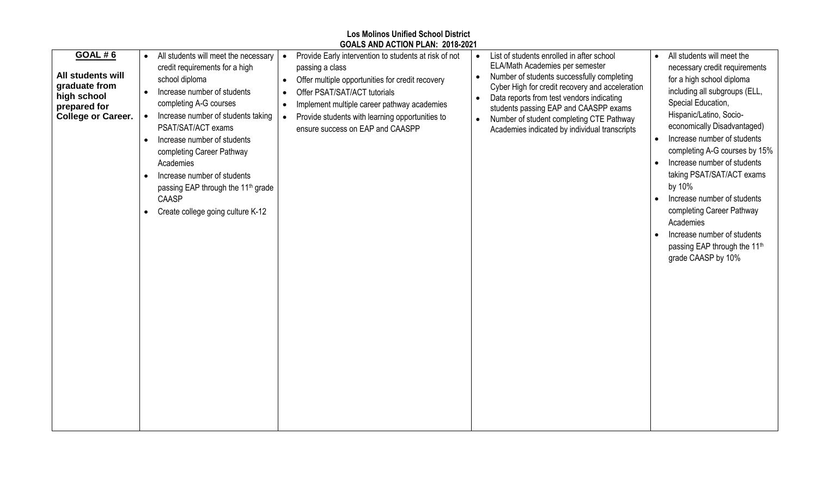|                                                                                                                         |                                                                                                                                                                                                                                                                                                                                                                                                                                                                                               | GOALS AND ACTION PLAN: 2018-2021                                                                                                                                                                                                                                                                                                          |                                                                                                                                                                                                                                                                                                                                                                                            |                                                                                                                                                                                                                                                                                                                                                                                                                                                                                                                           |
|-------------------------------------------------------------------------------------------------------------------------|-----------------------------------------------------------------------------------------------------------------------------------------------------------------------------------------------------------------------------------------------------------------------------------------------------------------------------------------------------------------------------------------------------------------------------------------------------------------------------------------------|-------------------------------------------------------------------------------------------------------------------------------------------------------------------------------------------------------------------------------------------------------------------------------------------------------------------------------------------|--------------------------------------------------------------------------------------------------------------------------------------------------------------------------------------------------------------------------------------------------------------------------------------------------------------------------------------------------------------------------------------------|---------------------------------------------------------------------------------------------------------------------------------------------------------------------------------------------------------------------------------------------------------------------------------------------------------------------------------------------------------------------------------------------------------------------------------------------------------------------------------------------------------------------------|
| <b>GOAL #6</b><br><b>All students will</b><br>graduate from<br>high school<br>prepared for<br><b>College or Career.</b> | All students will meet the necessary<br>credit requirements for a high<br>school diploma<br>Increase number of students<br>$\bullet$<br>completing A-G courses<br>Increase number of students taking<br>$\bullet$<br>PSAT/SAT/ACT exams<br>Increase number of students<br>$\bullet$<br>completing Career Pathway<br>Academies<br>Increase number of students<br>$\bullet$<br>passing EAP through the 11 <sup>th</sup> grade<br><b>CAASP</b><br>Create college going culture K-12<br>$\bullet$ | Provide Early intervention to students at risk of not<br>$\bullet$<br>passing a class<br>Offer multiple opportunities for credit recovery<br>$\bullet$<br>Offer PSAT/SAT/ACT tutorials<br>Implement multiple career pathway academies<br>$\bullet$<br>Provide students with learning opportunities to<br>ensure success on EAP and CAASPP | List of students enrolled in after school<br>ELA/Math Academies per semester<br>Number of students successfully completing<br>$\bullet$<br>Cyber High for credit recovery and acceleration<br>Data reports from test vendors indicating<br>students passing EAP and CAASPP exams<br>Number of student completing CTE Pathway<br>$\bullet$<br>Academies indicated by individual transcripts | All students will meet the<br>necessary credit requirements<br>for a high school diploma<br>including all subgroups (ELL,<br>Special Education,<br>Hispanic/Latino, Socio-<br>economically Disadvantaged)<br>Increase number of students<br>completing A-G courses by 15%<br>Increase number of students<br>taking PSAT/SAT/ACT exams<br>by 10%<br>Increase number of students<br>completing Career Pathway<br>Academies<br>Increase number of students<br>passing EAP through the 11 <sup>th</sup><br>grade CAASP by 10% |

**Los Molinos Unified School District**